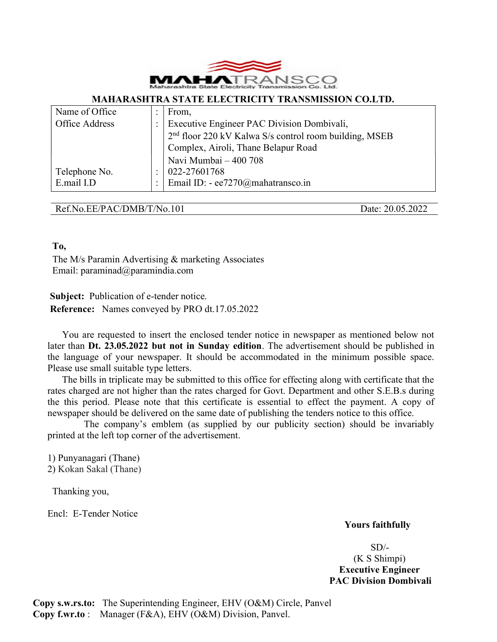

#### MAHARASHTRA STATE ELECTRICITY TRANSMISSION CO.LTD.

| Name of Office |                | From,                                                              |  |  |
|----------------|----------------|--------------------------------------------------------------------|--|--|
| Office Address |                | Executive Engineer PAC Division Dombivali,                         |  |  |
|                |                | 2 <sup>nd</sup> floor 220 kV Kalwa S/s control room building, MSEB |  |  |
|                |                | Complex, Airoli, Thane Belapur Road                                |  |  |
|                |                | Navi Mumbai - 400 708                                              |  |  |
| Telephone No.  |                | 022-27601768                                                       |  |  |
| E.mail I.D     | $\ddot{\cdot}$ | Email ID: - ee7270@mahatransco.in                                  |  |  |

#### Ref.No.EE/PAC/DMB/T/No.101 Date: 20.05.2022

## To,

 The M/s Paramin Advertising & marketing Associates Email: paraminad@paramindia.com

 Subject: Publication of e-tender notice. Reference: Names conveyed by PRO dt.17.05.2022

You are requested to insert the enclosed tender notice in newspaper as mentioned below not later than Dt. 23.05.2022 but not in Sunday edition. The advertisement should be published in the language of your newspaper. It should be accommodated in the minimum possible space. Please use small suitable type letters.

 The bills in triplicate may be submitted to this office for effecting along with certificate that the rates charged are not higher than the rates charged for Govt. Department and other S.E.B.s during the this period. Please note that this certificate is essential to effect the payment. A copy of newspaper should be delivered on the same date of publishing the tenders notice to this office.

 The company's emblem (as supplied by our publicity section) should be invariably printed at the left top corner of the advertisement.

 1) Punyanagari (Thane) 2) Kokan Sakal (Thane)

Thanking you,

Encl: E-Tender Notice

## Yours faithfully

 SD/- (K S Shimpi) Executive Engineer PAC Division Dombivali